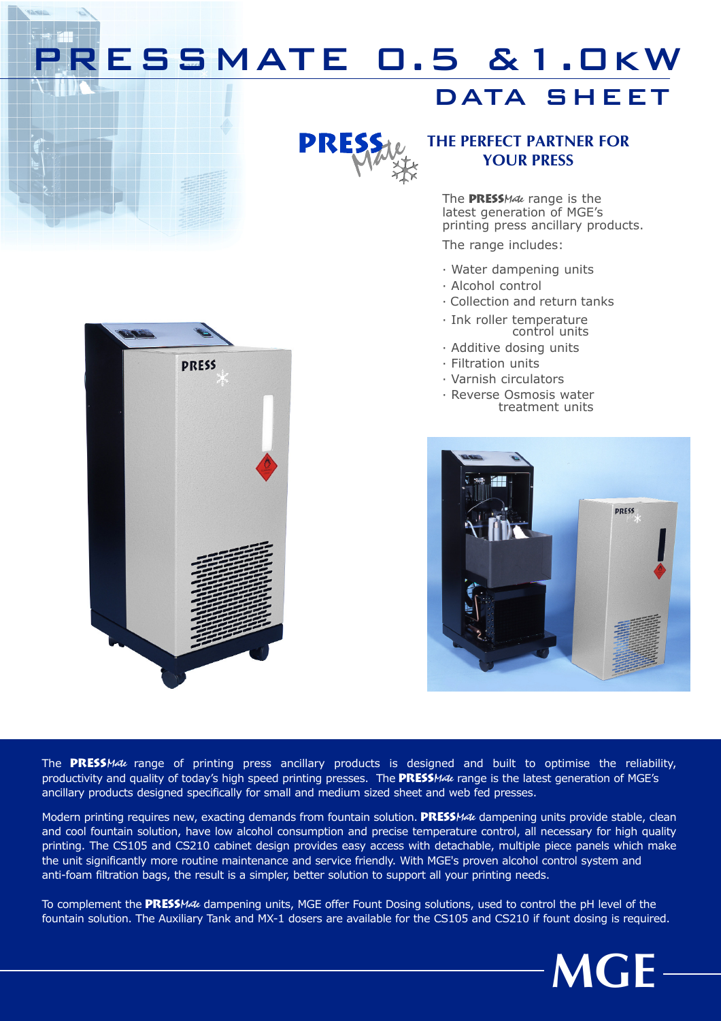## RESSMATE 0.5 & 1.0kW

### DATA SHEET



### THE PERFECT PARTNER FOR YOUR PRESS

The PRESSMate range is the latest generation of MGE's printing press ancillary products.

The range includes:

- · Water dampening units
- · Alcohol control
- · Collection and return tanks
- · Ink roller temperature control units
- · Additive dosing units
- · Filtration units
- · Varnish circulators
- · Reverse Osmosis water treatment units





The PRESSMate range of printing press ancillary products is designed and built to optimise the reliability, productivity and quality of today's high speed printing presses. The **PRESSMate** range is the latest generation of MGE's ancillary products designed specifically for small and medium sized sheet and web fed presses.

Modern printing requires new, exacting demands from fountain solution. PRESSMate dampening units provide stable, clean and cool fountain solution, have low alcohol consumption and precise temperature control, all necessary for high quality printing. The CS105 and CS210 cabinet design provides easy access with detachable, multiple piece panels which make the unit significantly more routine maintenance and service friendly. With MGE's proven alcohol control system and anti-foam filtration bags, the result is a simpler, better solution to support all your printing needs.

To complement the PRESSMate dampening units, MGE offer Fount Dosing solutions, used to control the pH level of the fountain solution. The Auxiliary Tank and MX-1 dosers are available for the CS105 and CS210 if fount dosing is required.